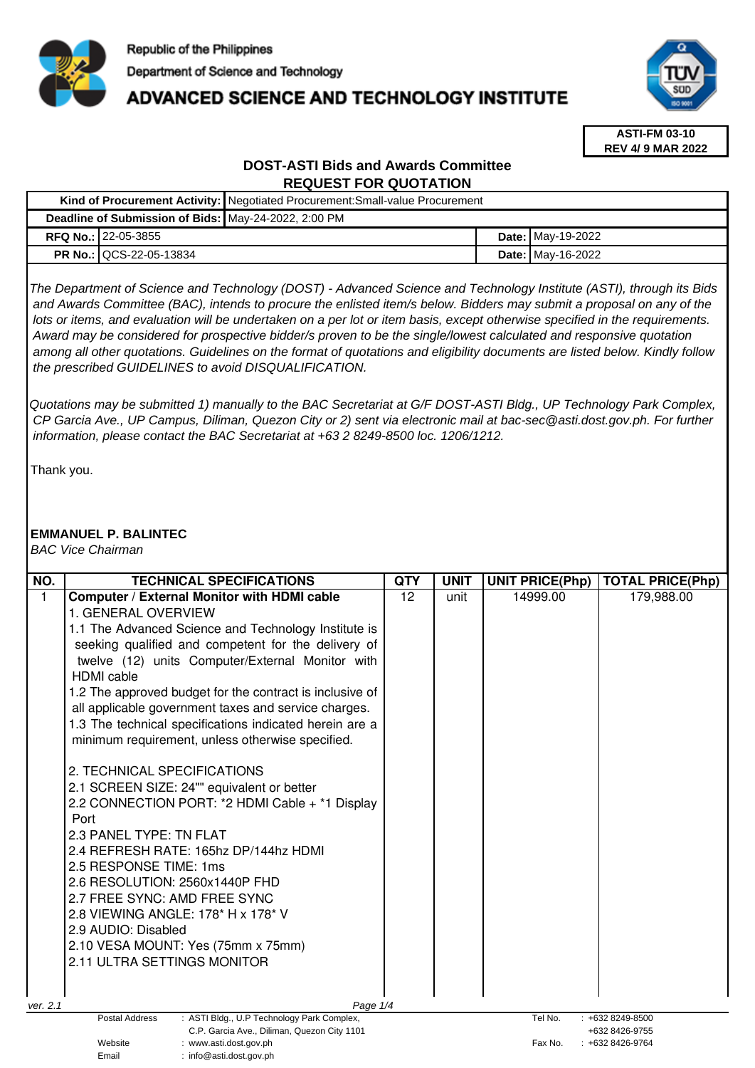

# **ADVANCED SCIENCE AND TECHNOLOGY INSTITUTE**



**ASTI-FM 03-10 REV 4/ 9 MAR 2022**

# **DOST-ASTI Bids and Awards Committee REQUEST FOR QUOTATION**

|                                                      |                                | Kind of Procurement Activity:   Negotiated Procurement: Small-value Procurement |  |                          |
|------------------------------------------------------|--------------------------------|---------------------------------------------------------------------------------|--|--------------------------|
| Deadline of Submission of Bids: May-24-2022, 2:00 PM |                                |                                                                                 |  |                          |
|                                                      | <b>RFQ No.: 122-05-3855</b>    |                                                                                 |  | <b>Date:</b> May-19-2022 |
|                                                      | <b>PR No.: QCS-22-05-13834</b> |                                                                                 |  | <b>Date: May-16-2022</b> |

The Department of Science and Technology (DOST) - Advanced Science and Technology Institute (ASTI), through its Bids and Awards Committee (BAC), intends to procure the enlisted item/s below. Bidders may submit a proposal on any of the lots or items, and evaluation will be undertaken on a per lot or item basis, except otherwise specified in the requirements. Award may be considered for prospective bidder/s proven to be the single/lowest calculated and responsive quotation among all other quotations. Guidelines on the format of quotations and eligibility documents are listed below. Kindly follow the prescribed GUIDELINES to avoid DISQUALIFICATION.

Quotations may be submitted 1) manually to the BAC Secretariat at G/F DOST-ASTI Bldg., UP Technology Park Complex, CP Garcia Ave., UP Campus, Diliman, Quezon City or 2) sent via electronic mail at bac-sec@asti.dost.gov.ph. For further information, please contact the BAC Secretariat at +63 2 8249-8500 loc. 1206/1212.

Thank you.

## **EMMANUEL P. BALINTEC**

Email : info@asti.dost.gov.ph

BAC Vice Chairman

| NO.                                                                              | <b>TECHNICAL SPECIFICATIONS</b>                              | QTY | <b>UNIT</b> | <b>UNIT PRICE(Php)</b> | <b>TOTAL PRICE(Php)</b>               |
|----------------------------------------------------------------------------------|--------------------------------------------------------------|-----|-------------|------------------------|---------------------------------------|
| 1                                                                                | <b>Computer / External Monitor with HDMI cable</b>           | 12  | unit        | 14999.00               | 179,988.00                            |
|                                                                                  | 1. GENERAL OVERVIEW                                          |     |             |                        |                                       |
|                                                                                  | 1.1 The Advanced Science and Technology Institute is         |     |             |                        |                                       |
|                                                                                  | seeking qualified and competent for the delivery of          |     |             |                        |                                       |
|                                                                                  | twelve (12) units Computer/External Monitor with             |     |             |                        |                                       |
|                                                                                  | <b>HDMI</b> cable                                            |     |             |                        |                                       |
|                                                                                  | 1.2 The approved budget for the contract is inclusive of     |     |             |                        |                                       |
|                                                                                  | all applicable government taxes and service charges.         |     |             |                        |                                       |
|                                                                                  | 1.3 The technical specifications indicated herein are a      |     |             |                        |                                       |
|                                                                                  | minimum requirement, unless otherwise specified.             |     |             |                        |                                       |
|                                                                                  | 2. TECHNICAL SPECIFICATIONS                                  |     |             |                        |                                       |
|                                                                                  | 2.1 SCREEN SIZE: 24"" equivalent or better                   |     |             |                        |                                       |
|                                                                                  | 2.2 CONNECTION PORT: *2 HDMI Cable + *1 Display              |     |             |                        |                                       |
|                                                                                  | Port                                                         |     |             |                        |                                       |
|                                                                                  | 2.3 PANEL TYPE: TN FLAT                                      |     |             |                        |                                       |
|                                                                                  | 2.4 REFRESH RATE: 165hz DP/144hz HDMI                        |     |             |                        |                                       |
|                                                                                  | 2.5 RESPONSE TIME: 1ms                                       |     |             |                        |                                       |
|                                                                                  | 2.6 RESOLUTION: 2560x1440P FHD                               |     |             |                        |                                       |
|                                                                                  | 2.7 FREE SYNC: AMD FREE SYNC                                 |     |             |                        |                                       |
|                                                                                  | 2.8 VIEWING ANGLE: 178* H x 178* V                           |     |             |                        |                                       |
|                                                                                  | 2.9 AUDIO: Disabled                                          |     |             |                        |                                       |
|                                                                                  | 2.10 VESA MOUNT: Yes (75mm x 75mm)                           |     |             |                        |                                       |
|                                                                                  | 2.11 ULTRA SETTINGS MONITOR                                  |     |             |                        |                                       |
|                                                                                  |                                                              |     |             |                        |                                       |
| ver. 2.1                                                                         | Page 1/4                                                     |     |             |                        |                                       |
|                                                                                  | Postal Address<br>: ASTI Bldg., U.P Technology Park Complex, |     |             | Tel No.                | $: +6328249 - 8500$<br>+632 8426-9755 |
| C.P. Garcia Ave., Diliman, Quezon City 1101<br>Website<br>: www.asti.dost.gov.ph |                                                              |     |             | Fax No.                | +632 8426-9764                        |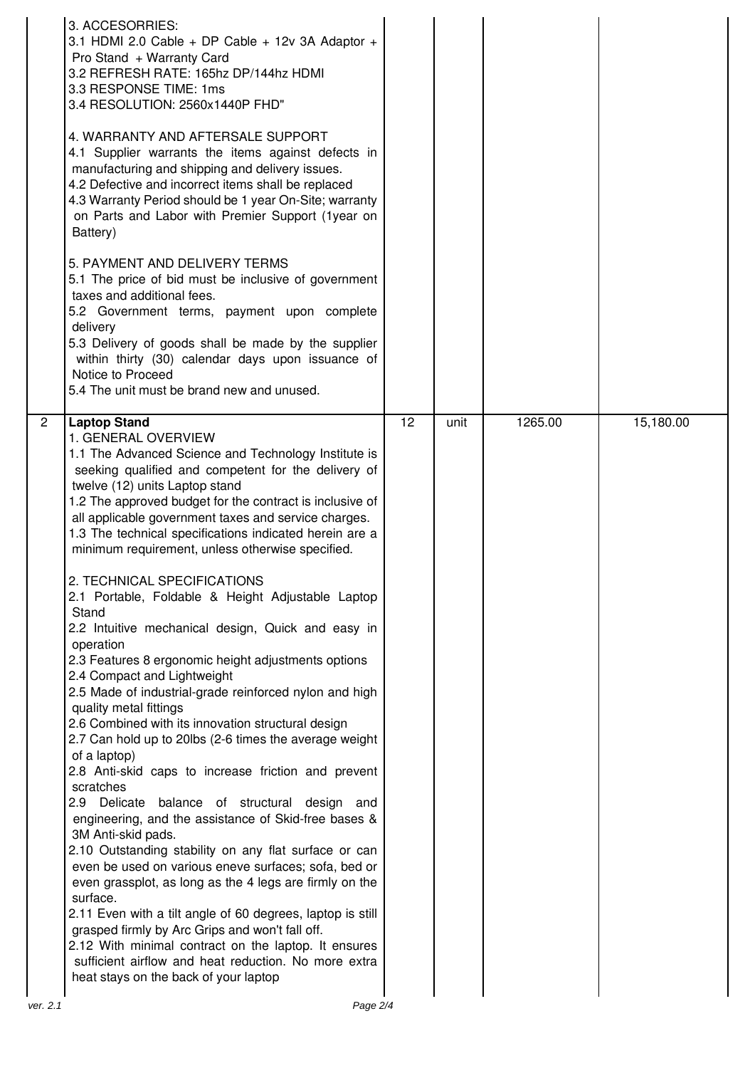| 3. ACCESORRIES:<br>3.1 HDMI 2.0 Cable + DP Cable + 12v 3A Adaptor +<br>Pro Stand + Warranty Card<br>3.2 REFRESH RATE: 165hz DP/144hz HDMI<br>3.3 RESPONSE TIME: 1ms<br>3.4 RESOLUTION: 2560x1440P FHD"<br>4. WARRANTY AND AFTERSALE SUPPORT<br>4.1 Supplier warrants the items against defects in<br>manufacturing and shipping and delivery issues.<br>4.2 Defective and incorrect items shall be replaced<br>4.3 Warranty Period should be 1 year On-Site; warranty<br>on Parts and Labor with Premier Support (1year on<br>Battery)<br>5. PAYMENT AND DELIVERY TERMS<br>5.1 The price of bid must be inclusive of government<br>taxes and additional fees.<br>5.2 Government terms, payment upon complete<br>delivery<br>5.3 Delivery of goods shall be made by the supplier<br>within thirty (30) calendar days upon issuance of<br>Notice to Proceed<br>5.4 The unit must be brand new and unused.                                                                                                                                                                                                                                                                                                                                                                                                                                                                                                                                                                                                                                      |    |      |         |           |
|----------------------------------------------------------------------------------------------------------------------------------------------------------------------------------------------------------------------------------------------------------------------------------------------------------------------------------------------------------------------------------------------------------------------------------------------------------------------------------------------------------------------------------------------------------------------------------------------------------------------------------------------------------------------------------------------------------------------------------------------------------------------------------------------------------------------------------------------------------------------------------------------------------------------------------------------------------------------------------------------------------------------------------------------------------------------------------------------------------------------------------------------------------------------------------------------------------------------------------------------------------------------------------------------------------------------------------------------------------------------------------------------------------------------------------------------------------------------------------------------------------------------------------------------|----|------|---------|-----------|
| 2<br><b>Laptop Stand</b><br>1. GENERAL OVERVIEW<br>1.1 The Advanced Science and Technology Institute is<br>seeking qualified and competent for the delivery of<br>twelve (12) units Laptop stand<br>1.2 The approved budget for the contract is inclusive of<br>all applicable government taxes and service charges.<br>1.3 The technical specifications indicated herein are a<br>minimum requirement, unless otherwise specified.<br>2. TECHNICAL SPECIFICATIONS<br>2.1 Portable, Foldable & Height Adjustable Laptop<br>Stand<br>2.2 Intuitive mechanical design, Quick and easy in<br>operation<br>2.3 Features 8 ergonomic height adjustments options<br>2.4 Compact and Lightweight<br>2.5 Made of industrial-grade reinforced nylon and high<br>quality metal fittings<br>2.6 Combined with its innovation structural design<br>2.7 Can hold up to 20lbs (2-6 times the average weight<br>of a laptop)<br>2.8 Anti-skid caps to increase friction and prevent<br>scratches<br>2.9 Delicate<br>balance of structural design and<br>engineering, and the assistance of Skid-free bases &<br>3M Anti-skid pads.<br>2.10 Outstanding stability on any flat surface or can<br>even be used on various eneve surfaces; sofa, bed or<br>even grassplot, as long as the 4 legs are firmly on the<br>surface.<br>2.11 Even with a tilt angle of 60 degrees, laptop is still<br>grasped firmly by Arc Grips and won't fall off.<br>2.12 With minimal contract on the laptop. It ensures<br>sufficient airflow and heat reduction. No more extra | 12 | unit | 1265.00 | 15,180.00 |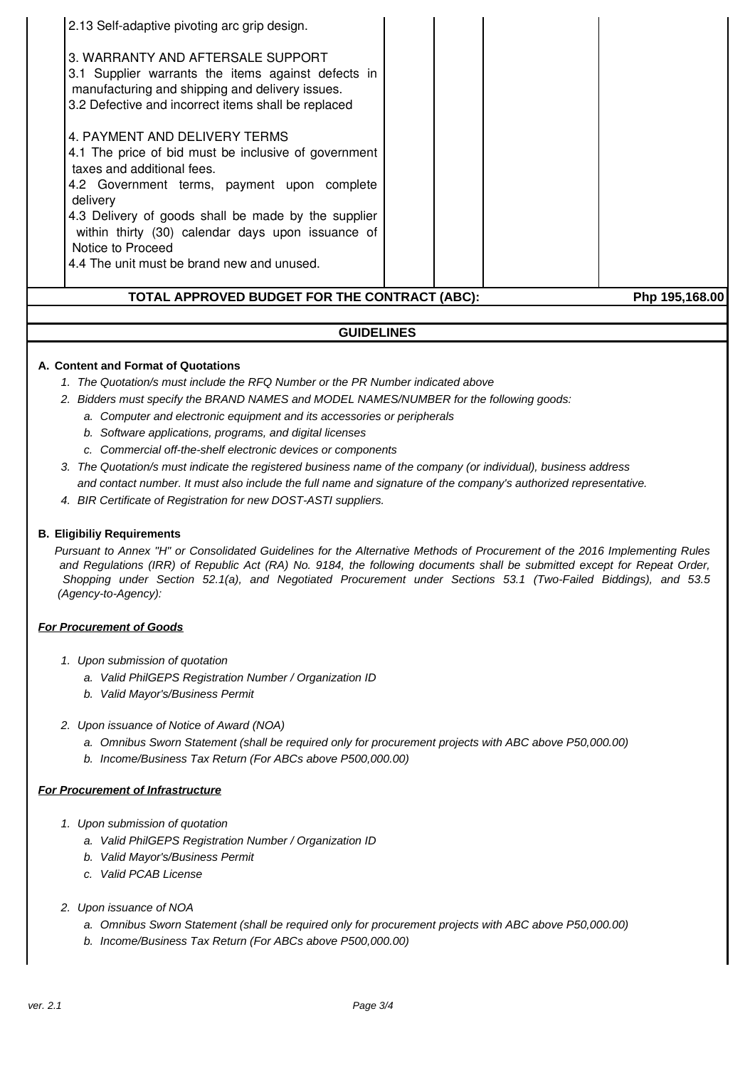| 2.13 Self-adaptive pivoting arc grip design.                                                                                                                                                                                                                                                                                                                  |                |
|---------------------------------------------------------------------------------------------------------------------------------------------------------------------------------------------------------------------------------------------------------------------------------------------------------------------------------------------------------------|----------------|
| 3. WARRANTY AND AFTERSALE SUPPORT<br>3.1 Supplier warrants the items against defects in<br>manufacturing and shipping and delivery issues.<br>3.2 Defective and incorrect items shall be replaced                                                                                                                                                             |                |
| 4. PAYMENT AND DELIVERY TERMS<br>4.1 The price of bid must be inclusive of government<br>taxes and additional fees.<br>4.2 Government terms, payment upon complete<br>delivery<br>4.3 Delivery of goods shall be made by the supplier<br>within thirty (30) calendar days upon issuance of<br>Notice to Proceed<br>4.4 The unit must be brand new and unused. |                |
| TOTAL APPROVED BUDGET FOR THE CONTRACT (ABC):                                                                                                                                                                                                                                                                                                                 | Php 195,168.00 |

# **GUIDELINES**

### **A. Content and Format of Quotations**

- 1. The Quotation/s must include the RFQ Number or the PR Number indicated above
- 2. Bidders must specify the BRAND NAMES and MODEL NAMES/NUMBER for the following goods:
	- a. Computer and electronic equipment and its accessories or peripherals
	- b. Software applications, programs, and digital licenses
	- c. Commercial off-the-shelf electronic devices or components
- 3. The Quotation/s must indicate the registered business name of the company (or individual), business address and contact number. It must also include the full name and signature of the company's authorized representative.
- 4. BIR Certificate of Registration for new DOST-ASTI suppliers.

#### **B. Eligibiliy Requirements**

Pursuant to Annex "H" or Consolidated Guidelines for the Alternative Methods of Procurement of the 2016 Implementing Rules and Regulations (IRR) of Republic Act (RA) No. 9184, the following documents shall be submitted except for Repeat Order, Shopping under Section 52.1(a), and Negotiated Procurement under Sections 53.1 (Two-Failed Biddings), and 53.5 (Agency-to-Agency):

#### **For Procurement of Goods**

- 1. Upon submission of quotation
	- a. Valid PhilGEPS Registration Number / Organization ID
	- b. Valid Mayor's/Business Permit
- 2. Upon issuance of Notice of Award (NOA)
	- a. Omnibus Sworn Statement (shall be required only for procurement projects with ABC above P50,000.00)
	- b. Income/Business Tax Return (For ABCs above P500,000.00)

#### **For Procurement of Infrastructure**

- 1. Upon submission of quotation
	- a. Valid PhilGEPS Registration Number / Organization ID
	- b. Valid Mayor's/Business Permit
	- c. Valid PCAB License
- 2. Upon issuance of NOA
	- a. Omnibus Sworn Statement (shall be required only for procurement projects with ABC above P50,000.00)
	- b. Income/Business Tax Return (For ABCs above P500,000.00)